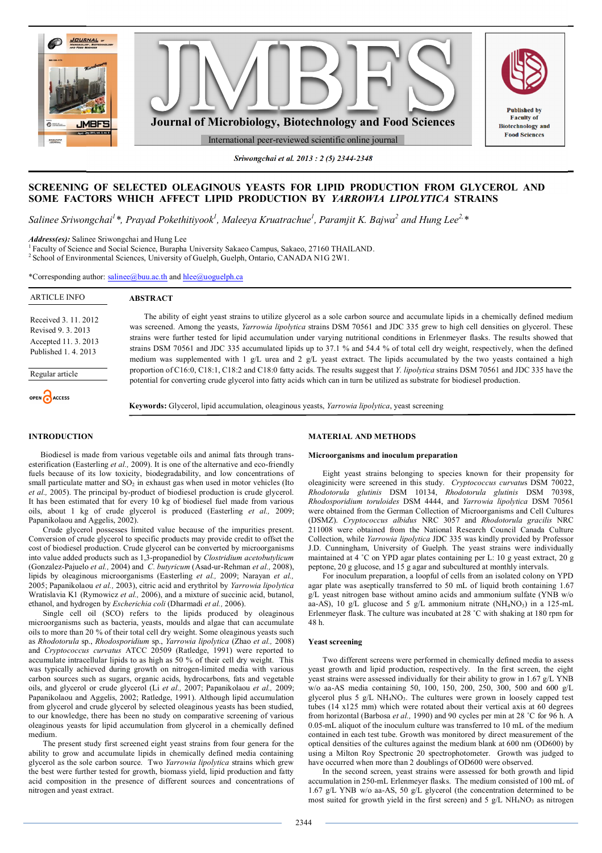

*Sriwongchai et al. 2013 : 2 (5) 2344-2348*

# **SCREENING OF SELECTED OLEAGINOUS YEASTS FOR LIPID PRODUCTION FROM GLYCEROL AND SOME FACTORS WHICH AFFECT LIPID PRODUCTION BY** *YARROWIA LIPOLYTICA* **STRAINS**

*Salinee Sriwongchai<sup>1</sup> \*, Prayad Pokethitiyook<sup>1</sup> , Maleeya Kruatrachue<sup>1</sup> , Paramjit K. Bajwa<sup>2</sup> and Hung Lee2,\**

*Address(es):* Salinee Sriwongchai and Hung Lee

<sup>1</sup>Faculty of Science and Social Science, Burapha University Sakaeo Campus, Sakaeo, 27160 THAILAND. <sup>2</sup> School of Environmental Sciences, University of Guelph, Guelph, Ontario, CANADA N1G 2W1.

\*Corresponding author: salinee@buu.ac.th and hlee@uoguelph.ca

| <b>ARTICLE INFO</b>                                                                      | <b>ABSTRACT</b>                                                                                                                                                                                                                                                                                                                                                                                                                                                                                                                                                                                                                                                                                                |
|------------------------------------------------------------------------------------------|----------------------------------------------------------------------------------------------------------------------------------------------------------------------------------------------------------------------------------------------------------------------------------------------------------------------------------------------------------------------------------------------------------------------------------------------------------------------------------------------------------------------------------------------------------------------------------------------------------------------------------------------------------------------------------------------------------------|
| Received 3, 11, 2012<br>Revised 9.3.2013<br>Accepted 11, 3, 2013<br>Published 1, 4, 2013 | The ability of eight yeast strains to utilize glycerol as a sole carbon source and accumulate lipids in a chemically defined medium<br>was screened. Among the yeasts, <i>Yarrowia lipolytica</i> strains DSM 70561 and JDC 335 grew to high cell densities on glycerol. These<br>strains were further tested for lipid accumulation under varying nutritional conditions in Erlenmeyer flasks. The results showed that<br>strains DSM 70561 and JDC 335 accumulated lipids up to 37.1 % and 54.4 % of total cell dry weight, respectively, when the defined<br>medium was supplemented with $1 \text{ g/L}$ urea and $2 \text{ g/L}$ yeast extract. The lipids accumulated by the two yeasts contained a high |
| Regular article                                                                          | proportion of C16:0, C18:1, C18:2 and C18:0 fatty acids. The results suggest that Y. lipolytica strains DSM 70561 and JDC 335 have the<br>potential for converting crude glycerol into fatty acids which can in turn be utilized as substrate for biodiesel production.                                                                                                                                                                                                                                                                                                                                                                                                                                        |
| OPEN CACCESS                                                                             | <b>Keywords:</b> Glycerol, lipid accumulation, oleaginous yeasts, <i>Yarrowia lipolytica</i> , yeast screening                                                                                                                                                                                                                                                                                                                                                                                                                                                                                                                                                                                                 |

## **INTRODUCTION**

 Biodiesel is made from various vegetable oils and animal fats through transesterification (Easterling *et al.,* 2009). It is one of the alternative and eco-friendly fuels because of its low toxicity, biodegradability, and low concentrations of small particulate matter and  $SO<sub>2</sub>$  in exhaust gas when used in motor vehicles (Ito *et al.,* 2005). The principal by-product of biodiesel production is crude glycerol. It has been estimated that for every 10 kg of biodiesel fuel made from various oils, about 1 kg of crude glycerol is produced (Easterling *et al.,* 2009; Papanikolaou and Aggelis, 2002).

Crude glycerol possesses limited value because of the impurities present. Conversion of crude glycerol to specific products may provide credit to offset the cost of biodiesel production. Crude glycerol can be converted by microorganisms into value added products such as 1,3-propanediol by *Clostridium acetobutylicum* (Gonzalez-Pajuelo *et al.,* 2004) and *C. butyricum* (Asad-ur-Rehman *et al.,* 2008), lipids by oleaginous microorganisms (Easterling *et al.,* 2009; Narayan *et al.,* 2005; Papanikolaou *et al.,* 2003), citric acid and erythritol by *Yarrowia lipolytica* Wratislavia K1 (Rymowicz *et al.,* 2006), and a mixture of succinic acid, butanol, ethanol, and hydrogen by *Escherichia coli* (Dharmadi *et al.,* 2006).

Single cell oil (SCO) refers to the lipids produced by oleaginous microorganisms such as bacteria, yeasts, moulds and algae that can accumulate oils to more than 20 % of their total cell dry weight. Some oleaginous yeasts such as *Rhodotorula* sp., *Rhodosporidium* sp., *Yarrowia lipolytica* (Zhao *et al.,* 2008) and *Cryptococcus curvatus* ATCC 20509 (Ratledge, 1991) were reported to accumulate intracellular lipids to as high as 50 % of their cell dry weight. This was typically achieved during growth on nitrogen-limited media with various carbon sources such as sugars, organic acids, hydrocarbons, fats and vegetable oils, and glycerol or crude glycerol (Li *et al.,* 2007; Papanikolaou *et al.,* 2009; Papanikolaou and Aggelis, 2002; Ratledge, 1991). Although lipid accumulation from glycerol and crude glycerol by selected oleaginous yeasts has been studied, to our knowledge, there has been no study on comparative screening of various oleaginous yeasts for lipid accumulation from glycerol in a chemically defined medium.

The present study first screened eight yeast strains from four genera for the ability to grow and accumulate lipids in chemically defined media containing glycerol as the sole carbon source. Two *Yarrowia lipolytica* strains which grew the best were further tested for growth, biomass yield, lipid production and fatty acid composition in the presence of different sources and concentrations of nitrogen and yeast extract.

### **MATERIAL AND METHODS**

#### **Microorganisms and inoculum preparation**

Eight yeast strains belonging to species known for their propensity for oleaginicity were screened in this study. *Cryptococcus curvatu*s DSM 70022, *Rhodotorula glutinis* DSM 10134, *Rhodotorula glutinis* DSM 70398, *Rhodosporidium toruloides* DSM 4444, and *Yarrowia lipolytica* DSM 70561 were obtained from the German Collection of Microorganisms and Cell Cultures (DSMZ). *Cryptococcus albidus* NRC 3057 and *Rhodotorula gracilis* NRC 211008 were obtained from the National Research Council Canada Culture Collection, while *Yarrowia lipolytica* JDC 335 was kindly provided by Professor J.D. Cunningham, University of Guelph. The yeast strains were individually maintained at 4 ˚C on YPD agar plates containing per L: 10 g yeast extract, 20 g peptone, 20 g glucose, and 15 g agar and subcultured at monthly intervals.

For inoculum preparation, a loopful of cells from an isolated colony on YPD agar plate was aseptically transferred to 50 mL of liquid broth containing 1.67 g/L yeast nitrogen base without amino acids and ammonium sulfate (YNB w/o aa-AS), 10 g/L glucose and 5 g/L ammonium nitrate  $(NH_4NO_3)$  in a 125-mL Erlenmeyer flask. The culture was incubated at 28 ˚C with shaking at 180 rpm for 48 h.

#### **Yeast screening**

Two different screens were performed in chemically defined media to assess yeast growth and lipid production, respectively. In the first screen, the eight yeast strains were assessed individually for their ability to grow in 1.67 g/L YNB w/o aa-AS media containing 50, 100, 150, 200, 250, 300, 500 and 600 g/L glycerol plus 5 g/L NH<sub>4</sub>NO<sub>3</sub>. The cultures were grown in loosely capped test tubes (14 x125 mm) which were rotated about their vertical axis at 60 degrees from horizontal (Barbosa *et al.,* 1990) and 90 cycles per min at 28 ˚C for 96 h. A 0.05-mL aliquot of the inoculum culture was transferred to 10 mL of the medium contained in each test tube. Growth was monitored by direct measurement of the optical densities of the cultures against the medium blank at 600 nm (OD600) by using a Milton Roy Spectronic 20 spectrophotometer. Growth was judged to have occurred when more than 2 doublings of OD600 were observed.

In the second screen, yeast strains were assessed for both growth and lipid accumulation in 250-mL Erlenmeyer flasks. The medium consisted of 100 mL of 1.67 g/L YNB w/o aa-AS, 50 g/L glycerol (the concentration determined to be most suited for growth yield in the first screen) and  $5 \text{ g/L} \text{ NH}_4\text{NO}_3$  as nitrogen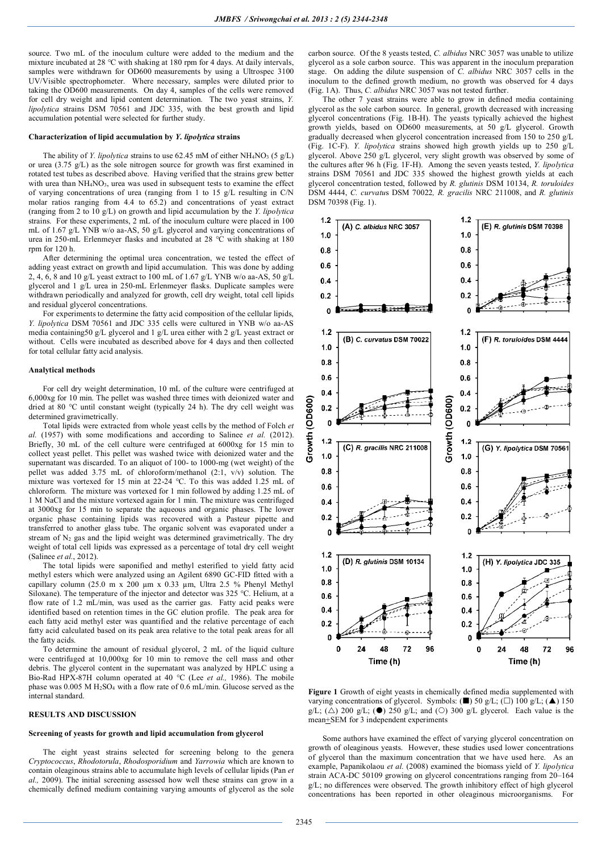source. Two mL of the inoculum culture were added to the medium and the mixture incubated at 28 °C with shaking at 180 rpm for 4 days. At daily intervals, samples were withdrawn for OD600 measurements by using a Ultrospec 3100 UV/Visible spectrophometer. Where necessary, samples were diluted prior to taking the OD600 measurements. On day 4, samples of the cells were removed for cell dry weight and lipid content determination. The two yeast strains, *Y. lipolytica* strains DSM 70561 and JDC 335, with the best growth and lipid accumulation potential were selected for further study.

#### **Characterization of lipid accumulation by** *Y. lipolytica* **strains**

The ability of *Y. lipolytica* strains to use 62.45 mM of either  $NH<sub>4</sub>NO<sub>3</sub>$  (5 g/L) or urea (3.75 g/L) as the sole nitrogen source for growth was first examined in rotated test tubes as described above. Having verified that the strains grew better with urea than  $NH<sub>4</sub>NO<sub>3</sub>$ , urea was used in subsequent tests to examine the effect of varying concentrations of urea (ranging from 1 to 15 g/L resulting in C/N molar ratios ranging from 4.4 to 65.2) and concentrations of yeast extract (ranging from 2 to 10 g/L) on growth and lipid accumulation by the *Y. lipolytica* strains. For these experiments, 2 mL of the inoculum culture were placed in 100 mL of 1.67 g/L YNB w/o aa-AS, 50 g/L glycerol and varying concentrations of urea in 250-mL Erlenmeyer flasks and incubated at 28 °C with shaking at 180 rpm for 120 h.

After determining the optimal urea concentration, we tested the effect of adding yeast extract on growth and lipid accumulation. This was done by adding 2, 4, 6, 8 and 10 g/L yeast extract to 100 mL of 1.67 g/L YNB w/o aa-AS, 50 g/L glycerol and 1 g/L urea in 250-mL Erlenmeyer flasks. Duplicate samples were withdrawn periodically and analyzed for growth, cell dry weight, total cell lipids and residual glycerol concentrations.

For experiments to determine the fatty acid composition of the cellular lipids, *Y. lipolytica* DSM 70561 and JDC 335 cells were cultured in YNB w/o aa-AS media containing50 g/L glycerol and 1 g/L urea either with 2 g/L yeast extract or without. Cells were incubated as described above for 4 days and then collected for total cellular fatty acid analysis.

### **Analytical methods**

For cell dry weight determination, 10 mL of the culture were centrifuged at 6,000xg for 10 min. The pellet was washed three times with deionized water and dried at 80 °C until constant weight (typically 24 h). The dry cell weight was determined gravimetrically.

Total lipids were extracted from whole yeast cells by the method of Folch *et al.* (1957) with some modifications and according to Salinee *et al.* (2012). Briefly, 30 mL of the cell culture were centrifuged at 6000xg for 15 min to collect yeast pellet. This pellet was washed twice with deionized water and the supernatant was discarded. To an aliquot of 100- to 1000-mg (wet weight) of the pellet was added 3.75 mL of chloroform/methanol (2:1, v/v) solution. The mixture was vortexed for 15 min at 22-24 °C. To this was added 1.25 mL of chloroform. The mixture was vortexed for 1 min followed by adding 1.25 mL of 1 M NaCl and the mixture vortexed again for 1 min. The mixture was centrifuged at 3000xg for 15 min to separate the aqueous and organic phases. The lower organic phase containing lipids was recovered with a Pasteur pipette and transferred to another glass tube. The organic solvent was evaporated under a stream of  $N_2$  gas and the lipid weight was determined gravimetrically. The dry weight of total cell lipids was expressed as a percentage of total dry cell weight (Salinee *et al.*, 2012).

The total lipids were saponified and methyl esterified to yield fatty acid methyl esters which were analyzed using an Agilent 6890 GC-FID fitted with a capillary column (25.0 m x 200 µm x 0.33 µm, Ultra 2.5 % Phenyl Methyl Siloxane). The temperature of the injector and detector was 325 °C. Helium, at a flow rate of 1.2 mL/min, was used as the carrier gas. Fatty acid peaks were identified based on retention times in the GC elution profile. The peak area for each fatty acid methyl ester was quantified and the relative percentage of each fatty acid calculated based on its peak area relative to the total peak areas for all the fatty acids.

To determine the amount of residual glycerol, 2 mL of the liquid culture were centrifuged at 10,000xg for 10 min to remove the cell mass and other debris. The glycerol content in the supernatant was analyzed by HPLC using a Bio-Rad HPX-87H column operated at 40 °C (Lee *et al.,* 1986). The mobile phase was  $0.005$  M H<sub>2</sub>SO<sub>4</sub> with a flow rate of 0.6 mL/min. Glucose served as the internal standard.

### **RESULTS AND DISCUSSION**

### **Screening of yeasts for growth and lipid accumulation from glycerol**

The eight yeast strains selected for screening belong to the genera *Cryptococcus*, *Rhodotorula*, *Rhodosporidium* and *Yarrowia* which are known to contain oleaginous strains able to accumulate high levels of cellular lipids (Pan *et al.,* 2009). The initial screening assessed how well these strains can grow in a chemically defined medium containing varying amounts of glycerol as the sole

carbon source. Of the 8 yeasts tested, *C. albidus* NRC 3057 was unable to utilize glycerol as a sole carbon source. This was apparent in the inoculum preparation stage. On adding the dilute suspension of *C. albidus* NRC 3057 cells in the inoculum to the defined growth medium, no growth was observed for 4 days (Fig. 1A). Thus, *C. albidus* NRC 3057 was not tested further.

The other 7 yeast strains were able to grow in defined media containing glycerol as the sole carbon source. In general, growth decreased with increasing glycerol concentrations (Fig. 1B-H). The yeasts typically achieved the highest growth yields, based on OD600 measurements, at 50 g/L glycerol. Growth gradually decreased when glycerol concentration increased from 150 to 250 g/L (Fig. 1C-F). *Y. lipolytica* strains showed high growth yields up to 250 g/L glycerol. Above 250 g/L glycerol, very slight growth was observed by some of the cultures after 96 h (Fig. 1F-H). Among the seven yeasts tested, *Y. lipolytica* strains DSM 70561 and JDC 335 showed the highest growth yields at each glycerol concentration tested, followed by *R. glutinis* DSM 10134, *R. toruloides* DSM 4444, *C. curvatu*s DSM 70022*, R. gracilis* NRC 211008, and *R. glutinis* DSM 70398 (Fig. 1).



**Figure 1** Growth of eight yeasts in chemically defined media supplemented with varying concentrations of glycerol. Symbols: ( $\blacksquare$ ) 50 g/L; ( $\Box$ ) 100 g/L; ( $\blacktriangle$ ) 150  $g/L$ ; ( $\triangle$ ) 200 g/L; ( $\bullet$ ) 250 g/L; and ( $\circ$ ) 300 g/L glycerol. Each value is the mean+SEM for 3 independent experiments

Some authors have examined the effect of varying glycerol concentration on growth of oleaginous yeasts. However, these studies used lower concentrations of glycerol than the maximum concentration that we have used here. As an example, Papanikolaou *et al.* (2008) examined the biomass yield of *Y. lipolytica* strain ACA-DC 50109 growing on glycerol concentrations ranging from 20–164 g/L; no differences were observed. The growth inhibitory effect of high glycerol concentrations has been reported in other oleaginous microorganisms. For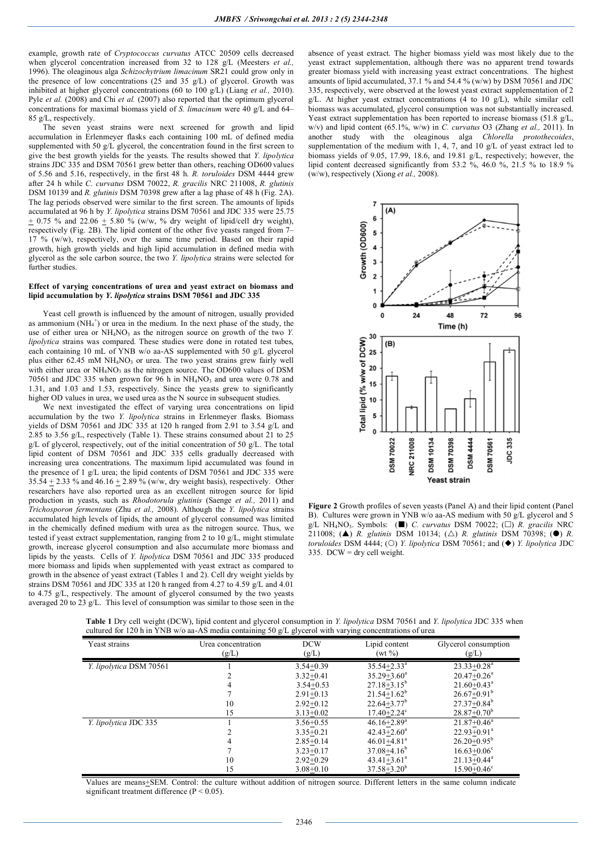example, growth rate of *Cryptococcus curvatus* ATCC 20509 cells decreased when glycerol concentration increased from 32 to 128 g/L (Meesters *et al.,* 1996). The oleaginous alga *Schizochytrium limacinum* SR21 could grow only in the presence of low concentrations (25 and 35 g/L) of glycerol. Growth was inhibited at higher glycerol concentrations (60 to 100 g/L) (Liang *et al.,* 2010). Pyle *et al.* (2008) and Chi *et al.* (2007) also reported that the optimum glycerol concentrations for maximal biomass yield of *S. limacinum* were 40 g/L and 64– 85 g/L, respectively.

The seven yeast strains were next screened for growth and lipid accumulation in Erlenmeyer flasks each containing 100 mL of defined media supplemented with 50 g/L glycerol, the concentration found in the first screen to give the best growth yields for the yeasts. The results showed that *Y. lipolytica* strains JDC 335 and DSM 70561 grew better than others, reaching OD600 values of 5.56 and 5.16, respectively, in the first 48 h. *R. toruloides* DSM 4444 grew after 24 h while *C. curvatus* DSM 70022, *R. gracilis* NRC 211008, *R. glutinis*  DSM 10139 and *R. glutinis* DSM 70398 grew after a lag phase of 48 h (Fig. 2A). The lag periods observed were similar to the first screen. The amounts of lipids accumulated at 96 h by *Y. lipolytica* strains DSM 70561 and JDC 335 were 25.75  $+ 0.75$  % and 22.06  $+ 5.80$  % (w/w, % dry weight of lipid/cell dry weight), respectively (Fig. 2B). The lipid content of the other five yeasts ranged from  $7-$ 17 % (w/w), respectively, over the same time period. Based on their rapid growth, high growth yields and high lipid accumulation in defined media with glycerol as the sole carbon source, the two *Y. lipolytica* strains were selected for further studies.

#### **Effect of varying concentrations of urea and yeast extract on biomass and lipid accumulation by** *Y. lipolytica* **strains DSM 70561 and JDC 335**

Yeast cell growth is influenced by the amount of nitrogen, usually provided as ammonium  $(NH_4^+)$  or urea in the medium. In the next phase of the study, the use of either urea or  $NH<sub>4</sub>NO<sub>3</sub>$  as the nitrogen source on growth of the two *Y*. *lipolytica* strains was compared. These studies were done in rotated test tubes, each containing 10 mL of YNB w/o aa-AS supplemented with 50 g/L glycerol plus either 62.45 mM NH<sub>4</sub>NO<sub>3</sub> or urea. The two yeast strains grew fairly well with either urea or  $NH<sub>4</sub>NO<sub>3</sub>$  as the nitrogen source. The OD600 values of DSM 70561 and JDC 335 when grown for 96 h in  $NH<sub>4</sub>NO<sub>3</sub>$  and urea were 0.78 and 1.31, and 1.03 and 1.53, respectively. Since the yeasts grew to significantly higher OD values in urea, we used urea as the N source in subsequent studies.

We next investigated the effect of varying urea concentrations on lipid accumulation by the two *Y. lipolytica* strains in Erlenmeyer flasks. Biomass yields of DSM 70561 and JDC 335 at 120 h ranged from 2.91 to 3.54 g/L and 2.85 to 3.56 g/L, respectively (Table 1). These strains consumed about 21 to 25 g/L of glycerol, respectively, out of the initial concentration of 50 g/L. The total lipid content of DSM 70561 and JDC 335 cells gradually decreased with increasing urea concentrations. The maximum lipid accumulated was found in the presence of 1 g/L urea; the lipid contents of DSM 70561 and JDC 335 were 35.54  $\pm$  2.33 % and 46.16  $\pm$  2.89 % (w/w, dry weight basis), respectively. Other researchers have also reported urea as an excellent nitrogen source for lipid production in yeasts, such as *Rhodotorula glutinis* (Saenge *et al.,* 2011) and *Trichosporon fermentans* (Zhu *et al.,* 2008). Although the *Y. lipolytica* strains accumulated high levels of lipids, the amount of glycerol consumed was limited in the chemically defined medium with urea as the nitrogen source. Thus, we tested if yeast extract supplementation, ranging from 2 to 10 g/L, might stimulate growth, increase glycerol consumption and also accumulate more biomass and lipids by the yeasts. Cells of *Y. lipolytica* DSM 70561 and JDC 335 produced more biomass and lipids when supplemented with yeast extract as compared to growth in the absence of yeast extract (Tables 1 and 2). Cell dry weight yields by strains DSM 70561 and JDC 335 at 120 h ranged from 4.27 to 4.59 g/L and 4.01 to 4.75 g/L, respectively. The amount of glycerol consumed by the two yeasts averaged 20 to 23 g/L. This level of consumption was similar to those seen in the

absence of yeast extract. The higher biomass yield was most likely due to the yeast extract supplementation, although there was no apparent trend towards greater biomass yield with increasing yeast extract concentrations. The highest amounts of lipid accumulated, 37.1 % and 54.4 % (w/w) by DSM 70561 and JDC 335, respectively, were observed at the lowest yeast extract supplementation of 2  $g/L$ . At higher yeast extract concentrations (4 to 10  $g/L$ ), while similar cell biomass was accumulated, glycerol consumption was not substantially increased. Yeast extract supplementation has been reported to increase biomass (51.8 g/L, w/v) and lipid content (65.1%, w/w) in *C. curvatus* O3 (Zhang *et al.,* 2011). In another study with the oleaginous alga *Chlorella protothecoides*, supplementation of the medium with  $1, 4, 7$ , and  $10 \text{ g/L}$  of yeast extract led to biomass yields of 9.05, 17.99, 18.6, and 19.81 g/L, respectively; however, the lipid content decreased significantly from 53.2 %, 46.0 %, 21.5 % to 18.9 % (w/w), respectively (Xiong *et al.,* 2008).



**Figure 2** Growth profiles of seven yeasts (Panel A) and their lipid content (Panel B). Cultures were grown in YNB w/o aa-AS medium with 50 g/L glycerol and 5 g/L NH<sub>4</sub>NO<sub>3</sub>. Symbols: ( $\blacksquare$ ) *C. curvatus* DSM 70022; ( $\Box$ ) *R. gracilis* NRC 211008; (A) *R. glutinis* DSM 10134; ( $\triangle$ ) *R. glutinis* DSM 70398; ( $\bullet$ ) *R. toruloides* DSM 4444; (O) *Y. lipolytica* DSM 70561; and ( $\blacklozenge$ ) *Y. lipolytica* JDC 335. DCW = dry cell weight.

| <b>Table 1</b> Dry cell weight (DCW), lipid content and glycerol consumption in Y. lipolytica DSM 70561 and Y. lipolytica JDC 335 when |  |  |  |
|----------------------------------------------------------------------------------------------------------------------------------------|--|--|--|
| cultured for 120 h in YNB w/o aa-AS media containing 50 g/L glycerol with varying concentrations of urea                               |  |  |  |

| Yeast strains           | Urea concentration | <b>DCW</b>    | Lipid content               | Glycerol consumption        |
|-------------------------|--------------------|---------------|-----------------------------|-----------------------------|
|                         | (g/L)              | (g/L)         | (wt %)                      | (g/L)                       |
| Y. lipolytica DSM 70561 |                    | $3.54 + 0.39$ | $35.54 + 2.33^a$            | $23.33 + 0.28$ <sup>a</sup> |
|                         |                    | $3.32 + 0.41$ | $35.29 + 3.60^a$            | $20.47 + 0.26^a$            |
|                         | 4                  | $3.54 + 0.53$ | $27.18 + 3.15^b$            | $21.60 + 0.43^a$            |
|                         |                    | $2.91 + 0.13$ | $21.54 + 1.62^b$            | $26.67+0.91^b$              |
|                         | 10                 | $2.92+0.12$   | $22.64 + 3.77$ <sup>b</sup> | $27.37 + 0.84^b$            |
|                         | 15                 | $3.13 + 0.02$ | $17.40 + 2.24^c$            | $28.87 + 0.70^b$            |
| Y. lipolytica JDC 335   |                    | $3.56 + 0.55$ | $46.16 + 2.89$ <sup>a</sup> | $21.87 + 0.46^a$            |
|                         |                    | $3.35 + 0.21$ | $42.43 + 2.60^a$            | $22.93 + 0.91^a$            |
|                         |                    | $2.85 + 0.14$ | $46.01 + 4.81$ <sup>a</sup> | $26.20 + 0.95^b$            |
|                         |                    | $3.23 + 0.17$ | $37.08 + 4.16^b$            | $16.63 + 0.06^{\circ}$      |
|                         | 10                 | $2.92+0.29$   | $43.41 + 3.61$ <sup>a</sup> | $21.13 + 0.44$ <sup>a</sup> |
|                         | 15                 | $3.08 + 0.10$ | $37.58 + 3.20^b$            | $15.90 + 0.46^{\circ}$      |

Values are means+SEM. Control: the culture without addition of nitrogen source. Different letters in the same column indicate significant treatment difference  $(P < 0.05)$ .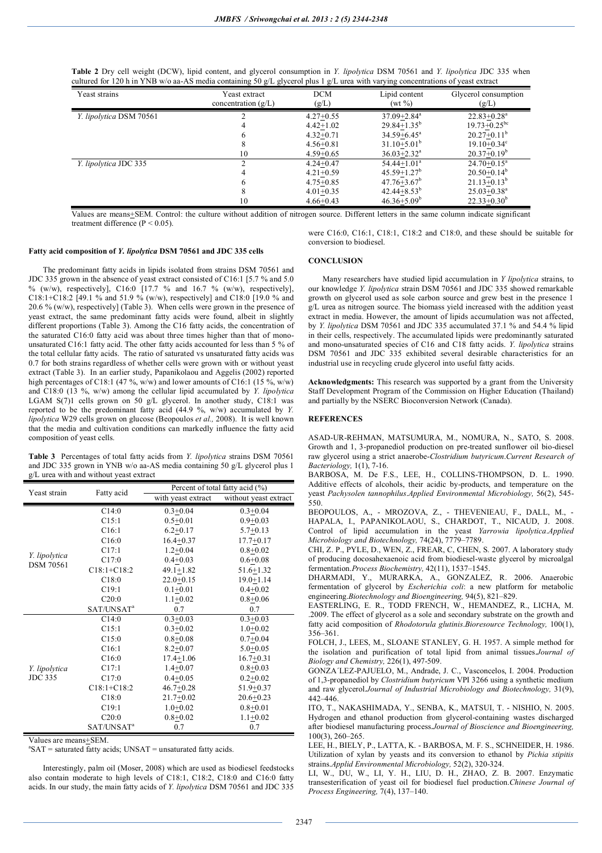| <b>Table 2</b> Dry cell weight (DCW), lipid content, and glycerol consumption in Y. lipolytica DSM 70561 and Y. lipolytica JDC 335 when |  |  |  |  |
|-----------------------------------------------------------------------------------------------------------------------------------------|--|--|--|--|
| cultured for 120 h in YNB w/o aa-AS media containing 50 g/L glycerol plus 1 g/L urea with varying concentrations of yeast extract       |  |  |  |  |

| Yeast strains           | Yeast extract<br>concentration $(g/L)$ | <b>DCM</b><br>(g/L)                                                             | Lipid content<br>$(wt \%)$                                                                                            | Glycerol consumption<br>(g/L)                                                                               |
|-------------------------|----------------------------------------|---------------------------------------------------------------------------------|-----------------------------------------------------------------------------------------------------------------------|-------------------------------------------------------------------------------------------------------------|
| Y. lipolytica DSM 70561 |                                        | $4.27+0.55$<br>$4.42 + 1.02$<br>$4.32+0.71$<br>$4.56 + 0.81$                    | $37.09 + 2.84$ <sup>a</sup><br>$29.84 + 1.35^b$<br>$34.59 + 6.45^a$<br>$31.10 + 5.01^b$                               | $22.83 + 0.28$ <sup>a</sup><br>$19.73 + 0.25$ <sup>bc</sup><br>$20.27 + 0.11^b$<br>$19.10 + 0.34^c$         |
|                         | 10                                     | $4.59 + 0.65$                                                                   | $36.03 + 2.32^a$                                                                                                      | $20.37 + 0.19^b$                                                                                            |
| Y. lipolytica JDC 335   | 10                                     | $4.24 + 0.47$<br>$4.21 + 0.59$<br>$4.75 + 0.85$<br>$4.01+0.35$<br>$4.66 + 0.43$ | $54.44 + 1.01a$<br>$45.59 + 1.27$ <sup>b</sup><br>$47.76 + 3.67$ <sup>b</sup><br>$42.44 + 8.53^b$<br>$46.36 + 5.09^b$ | $24.70 + 0.15^a$<br>$20.50 + 0.14^b$<br>$21.13 + 0.13^b$<br>$25.03 + 0.38$ <sup>a</sup><br>$22.33 + 0.30^b$ |

Values are means+SEM. Control: the culture without addition of nitrogen source. Different letters in the same column indicate significant treatment difference (P < 0.05).

> were C16:0, C16:1, C18:1, C18:2 and C18:0, and these should be suitable for conversion to biodiesel.

### **Fatty acid composition of** *Y. lipolytica* **DSM 70561 and JDC 335 cells**

The predominant fatty acids in lipids isolated from strains DSM 70561 and JDC 335 grown in the absence of yeast extract consisted of C16:1 [5.7 % and 5.0 % (w/w), respectively], C16:0 [17.7 % and 16.7 % (w/w), respectively], C18:1+C18:2 [49.1 % and 51.9 % (w/w), respectively] and C18:0 [19.0 % and 20.6 % (w/w), respectively] (Table 3). When cells were grown in the presence of yeast extract, the same predominant fatty acids were found, albeit in slightly different proportions (Table 3). Among the C16 fatty acids, the concentration of the saturated C16:0 fatty acid was about three times higher than that of monounsaturated C16:1 fatty acid. The other fatty acids accounted for less than 5 % of the total cellular fatty acids. The ratio of saturated vs unsaturated fatty acids was 0.7 for both strains regardless of whether cells were grown with or without yeast extract (Table 3). In an earlier study, Papanikolaou and Aggelis (2002) reported high percentages of C18:1 (47 %, w/w) and lower amounts of C16:1 (15 %, w/w) and C18:0 (13 %, w/w) among the cellular lipid accumulated by *Y. lipolytica* LGAM S(7)1 cells grown on 50 g/L glycerol. In another study, C18:1 was reported to be the predominant fatty acid (44.9 %, w/w) accumulated by *Y. lipolytica* W29 cells grown on glucose (Beopoulos *et al.,* 2008). It is well known that the media and cultivation conditions can markedly influence the fatty acid composition of yeast cells.

**Table 3** Percentages of total fatty acids from *Y. lipolytica* strains DSM 70561 and JDC 335 grown in YNB w/o aa-AS media containing 50 g/L glycerol plus 1 g/L urea with and without yeast extract

| Yeast strain     | Fatty acid             | Percent of total fatty acid (%) |                       |  |  |
|------------------|------------------------|---------------------------------|-----------------------|--|--|
|                  |                        | with yeast extract              | without yeast extract |  |  |
|                  | C14:0                  | $0.3 + 0.04$                    | $0.3 + 0.04$          |  |  |
|                  | C15:1                  | $0.5 + 0.01$                    | $0.9 + 0.03$          |  |  |
|                  | C16:1                  | $6.2 + 0.17$                    | $5.7 + 0.13$          |  |  |
|                  | C16:0                  | $16.4 + 0.37$                   | $17.7 + 0.17$         |  |  |
| Y. lipolytica    | C17:1                  | $1.2 + 0.04$                    | $0.8 + 0.02$          |  |  |
| <b>DSM 70561</b> | C17:0                  | $0.4 + 0.03$                    | $0.6 + 0.08$          |  |  |
|                  | $C18:1 + C18:2$        | $49.1 + 1.82$                   | $51.6 + 1.32$         |  |  |
|                  | C18:0                  | $22.0+0.15$                     | $19.0 + 1.14$         |  |  |
|                  | C19:1                  | $0.1 + 0.01$                    | $0.4 + 0.02$          |  |  |
|                  | C20:0                  | $1.1+0.02$                      | $0.8 + 0.06$          |  |  |
|                  | SAT/UNSAT <sup>a</sup> | 0.7                             | 0.7                   |  |  |
|                  | C14:0                  | $0.3 + 0.03$                    | $0.3 + 0.03$          |  |  |
|                  | C15:1                  | $0.3 + 0.02$                    | $1.0 + 0.02$          |  |  |
|                  | C15:0                  | $0.8 + 0.08$                    | $0.7 + 0.04$          |  |  |
|                  | C16:1                  | $8.2 + 0.07$                    | $5.0 + 0.05$          |  |  |
|                  | C16:0                  | $17.4 + 1.06$                   | $16.7 + 0.31$         |  |  |
| Y. lipolytica    | C17:1                  | $1.4 + 0.07$                    | $0.8 + 0.03$          |  |  |
| <b>JDC 335</b>   | C17:0                  | $0.4 + 0.05$                    | $0.2 + 0.02$          |  |  |
|                  | $C18:1 + C18:2$        | $46.7 + 0.28$                   | $51.9 + 0.37$         |  |  |
|                  | C18:0                  | $21.7+0.02$                     | $20.6 + 0.23$         |  |  |
|                  | C19:1                  | $1.0 + 0.02$                    | $0.8 + 0.01$          |  |  |
|                  | C20:0                  | $0.8 + 0.02$                    | $1.1 + 0.02$          |  |  |
|                  | SAT/UNSAT <sup>a</sup> | 0.7                             | 0.7                   |  |  |

Values are means+SEM.

 ${}^{\text{a}}$ SAT = saturated fatty acids; UNSAT = unsaturated fatty acids.

Interestingly, palm oil (Moser, 2008) which are used as biodiesel feedstocks also contain moderate to high levels of C18:1, C18:2, C18:0 and C16:0 fatty acids. In our study, the main fatty acids of *Y. lipolytica* DSM 70561 and JDC 335

#### **CONCLUSION**

Many researchers have studied lipid accumulation in *Y lipolytica* strains, to our knowledge *Y. lipolytica* strain DSM 70561 and JDC 335 showed remarkable growth on glycerol used as sole carbon source and grew best in the presence 1 g/L urea as nitrogen source. The biomass yield increased with the addition yeast extract in media. However, the amount of lipids accumulation was not affected, by *Y. lipolytica* DSM 70561 and JDC 335 accumulated 37.1 % and 54.4 % lipid in their cells, respectively. The accumulated lipids were predominantly saturated and mono-unsaturated species of C16 and C18 fatty acids. *Y. lipolytica* strains DSM 70561 and JDC 335 exhibited several desirable characteristics for an industrial use in recycling crude glycerol into useful fatty acids.

**Acknowledgments:** This research was supported by a grant from the University Staff Development Program of the Commission on Higher Education (Thailand) and partially by the NSERC Bioconversion Network (Canada).

## **REFERENCES**

ASAD-UR-REHMAN, MATSUMURA, M., NOMURA, N., SATO, S. 2008. Growth and 1, 3-propanediol production on pre-treated sunflower oil bio-diesel raw glycerol using a strict anaerobe-*Clostridium butyricum*.*Current Research of Bacteriology,* 1(1), 7-16.

BARBOSA, M. De F.S., LEE, H., COLLINS-THOMPSON, D. L. 1990. Additive effects of alcohols, their acidic by-products, and temperature on the yeast *Pachysolen tannophilus*.*Applied Environmental Microbiology,* 56(2), 545- 550.

BEOPOULOS, A., - MROZOVA, Z., - THEVENIEAU, F., DALL, M., - HAPALA, I., PAPANIKOLAOU, S., CHARDOT, T., NICAUD, J. 2008. Control of lipid accumulation in the yeast *Yarrowia lipolytica*.*Applied Microbiology and Biotechnology,* 74(24), 7779–7789.

CHI, Z. P., PYLE, D., WEN, Z., FREAR, C, CHEN, S. 2007. A laboratory study of producing docosahexaenoic acid from biodiesel-waste glycerol by microalgal fermentation.*Process Biochemistry,* 42(11), 1537–1545.

DHARMADI, Y., MURARKA, A., GONZALEZ, R. 2006. Anaerobic fermentation of glycerol by *Escherichia coli*: a new platform for metabolic engineering.*Biotechnology and Bioengineering,* 94(5), 821–829.

EASTERLING, E. R., TODD FRENCH, W., HEMANDEZ, R., LICHA, M. .2009. The effect of glycerol as a sole and secondary substrate on the growth and fatty acid composition of *Rhodotorula glutinis*.*Bioresource Technology,* 100(1), 356–361.

FOLCH, J., LEES, M., SLOANE STANLEY, G. H. 1957. A simple method for the isolation and purification of total lipid from animal tissues.*Journal of Biology and Chemistry,* 226(1), 497-509.

GONZA´LEZ-PAJUELO, M., Andrade, J. C., Vasconcelos, I. 2004. Production of 1,3-propanediol by *Clostridium butyricum* VPI 3266 using a synthetic medium and raw glycerol.*Journal of Industrial Microbiology and Biotechnology,* 31(9), 442–446.

ITO, T., NAKASHIMADA, Y., SENBA, K., MATSUI, T. - NISHIO, N. 2005. Hydrogen and ethanol production from glycerol-containing wastes discharged after biodiesel manufacturing process.*Journal of Bioscience and Bioengineering,* 100(3), 260–265.

LEE, H., BIELY, P., LATTA, K. - BARBOSA, M. F. S., SCHNEIDER, H. 1986. Utilization of xylan by yeasts and its conversion to ethanol by *Pichia stipitis* strains.*Applid Environmental Microbiology,* 52(2), 320-324.

LI, W., DU, W., LI, Y. H., LIU, D. H., ZHAO, Z. B. 2007. Enzymatic transesterification of yeast oil for biodiesel fuel production.*Chinese Journal of Process Engineering,* 7(4), 137–140.